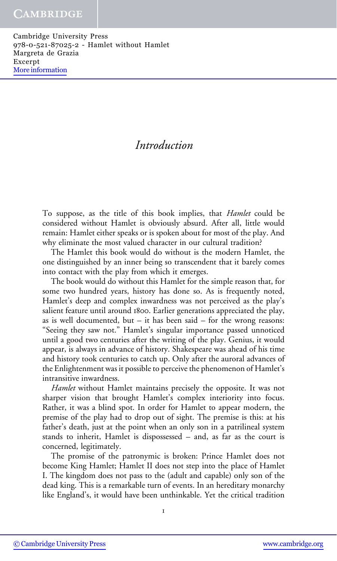# Introduction

To suppose, as the title of this book implies, that Hamlet could be considered without Hamlet is obviously absurd. After all, little would remain: Hamlet either speaks or is spoken about for most of the play. And why eliminate the most valued character in our cultural tradition?

The Hamlet this book would do without is the modern Hamlet, the one distinguished by an inner being so transcendent that it barely comes into contact with the play from which it emerges.

The book would do without this Hamlet for the simple reason that, for some two hundred years, history has done so. As is frequently noted, Hamlet's deep and complex inwardness was not perceived as the play's salient feature until around 1800. Earlier generations appreciated the play, as is well documented, but  $-$  it has been said  $-$  for the wrong reasons: "Seeing they saw not." Hamlet's singular importance passed unnoticed until a good two centuries after the writing of the play. Genius, it would appear, is always in advance of history. Shakespeare was ahead of his time and history took centuries to catch up. Only after the auroral advances of the Enlightenment was it possible to perceive the phenomenon of Hamlet's intransitive inwardness.

Hamlet without Hamlet maintains precisely the opposite. It was not sharper vision that brought Hamlet's complex interiority into focus. Rather, it was a blind spot. In order for Hamlet to appear modern, the premise of the play had to drop out of sight. The premise is this: at his father's death, just at the point when an only son in a patrilineal system stands to inherit, Hamlet is dispossessed – and, as far as the court is concerned, legitimately.

The promise of the patronymic is broken: Prince Hamlet does not become King Hamlet; Hamlet II does not step into the place of Hamlet I. The kingdom does not pass to the (adult and capable) only son of the dead king. This is a remarkable turn of events. In an hereditary monarchy like England's, it would have been unthinkable. Yet the critical tradition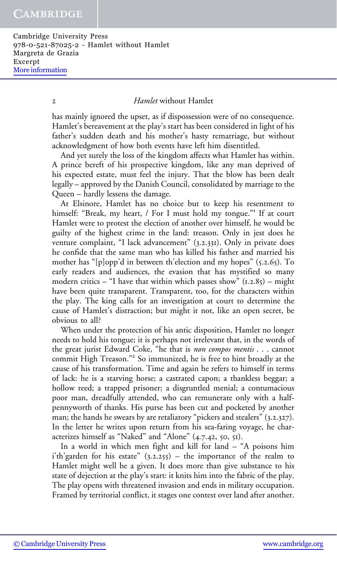#### 2 *Hamlet* without Hamlet

has mainly ignored the upset, as if dispossession were of no consequence. Hamlet's bereavement at the play's start has been considered in light of his father's sudden death and his mother's hasty remarriage, but without acknowledgment of how both events have left him disentitled.

And yet surely the loss of the kingdom affects what Hamlet has within. A prince bereft of his prospective kingdom, like any man deprived of his expected estate, must feel the injury. That the blow has been dealt legally – approved by the Danish Council, consolidated by marriage to the Queen – hardly lessens the damage.

At Elsinore, Hamlet has no choice but to keep his resentment to himself: "Break, my heart, / For I must hold my tongue."<sup>1</sup> If at court Hamlet were to protest the election of another over himself, he would be guilty of the highest crime in the land: treason. Only in jest does he venture complaint, "I lack advancement" (3.2.331). Only in private does he confide that the same man who has killed his father and married his mother has "[p]opp'd in between th'election and my hopes" (5.2.65). To early readers and audiences, the evasion that has mystified so many modern critics – "I have that within which passes show"  $(1.2.85)$  – might have been quite transparent. Transparent, too, for the characters within the play. The king calls for an investigation at court to determine the cause of Hamlet's distraction; but might it not, like an open secret, be obvious to all?

When under the protection of his antic disposition, Hamlet no longer needs to hold his tongue; it is perhaps not irrelevant that, in the words of the great jurist Edward Coke, "he that is non compos mentis . . . cannot commit High Treason."<sup>2</sup> So immunized, he is free to hint broadly at the cause of his transformation. Time and again he refers to himself in terms of lack: he is a starving horse; a castrated capon; a thankless beggar; a hollow reed; a trapped prisoner; a disgruntled menial; a contumacious poor man, dreadfully attended, who can remunerate only with a halfpennyworth of thanks. His purse has been cut and pocketed by another man; the hands he swears by are retaliatory "pickers and stealers" (3.2.327). In the letter he writes upon return from his sea-faring voyage, he characterizes himself as "Naked" and "Alone" (4.7.42, 50, 51).

In a world in which men fight and kill for land – "A poisons him i'th'garden for his estate"  $(3.2.255)$  – the importance of the realm to Hamlet might well be a given. It does more than give substance to his state of dejection at the play's start: it knits him into the fabric of the play. The play opens with threatened invasion and ends in military occupation. Framed by territorial conflict, it stages one contest over land after another.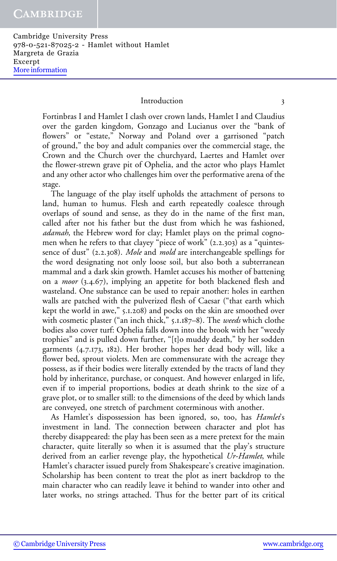#### Introduction 3

Fortinbras I and Hamlet I clash over crown lands, Hamlet I and Claudius over the garden kingdom, Gonzago and Lucianus over the "bank of flowers" or "estate," Norway and Poland over a garrisoned "patch of ground," the boy and adult companies over the commercial stage, the Crown and the Church over the churchyard, Laertes and Hamlet over the flower-strewn grave pit of Ophelia, and the actor who plays Hamlet and any other actor who challenges him over the performative arena of the stage.

The language of the play itself upholds the attachment of persons to land, human to humus. Flesh and earth repeatedly coalesce through overlaps of sound and sense, as they do in the name of the first man, called after not his father but the dust from which he was fashioned, adamah, the Hebrew word for clay; Hamlet plays on the primal cognomen when he refers to that clayey "piece of work" (2.2.303) as a "quintessence of dust" (2.2.308). Mole and mold are interchangeable spellings for the word designating not only loose soil, but also both a subterranean mammal and a dark skin growth. Hamlet accuses his mother of battening on a *moor* (3.4.67), implying an appetite for both blackened flesh and wasteland. One substance can be used to repair another: holes in earthen walls are patched with the pulverized flesh of Caesar ("that earth which kept the world in awe," 5.1.208) and pocks on the skin are smoothed over with cosmetic plaster ("an inch thick," 5.1.187–8). The *weeds* which clothe bodies also cover turf: Ophelia falls down into the brook with her "weedy trophies" and is pulled down further, "[t]o muddy death," by her sodden garments (4.7.173, 182). Her brother hopes her dead body will, like a flower bed, sprout violets. Men are commensurate with the acreage they possess, as if their bodies were literally extended by the tracts of land they hold by inheritance, purchase, or conquest. And however enlarged in life, even if to imperial proportions, bodies at death shrink to the size of a grave plot, or to smaller still: to the dimensions of the deed by which lands are conveyed, one stretch of parchment coterminous with another.

As Hamlet's dispossession has been ignored, so, too, has *Hamlet's* investment in land. The connection between character and plot has thereby disappeared: the play has been seen as a mere pretext for the main character, quite literally so when it is assumed that the play's structure derived from an earlier revenge play, the hypothetical Ur-Hamlet, while Hamlet's character issued purely from Shakespeare's creative imagination. Scholarship has been content to treat the plot as inert backdrop to the main character who can readily leave it behind to wander into other and later works, no strings attached. Thus for the better part of its critical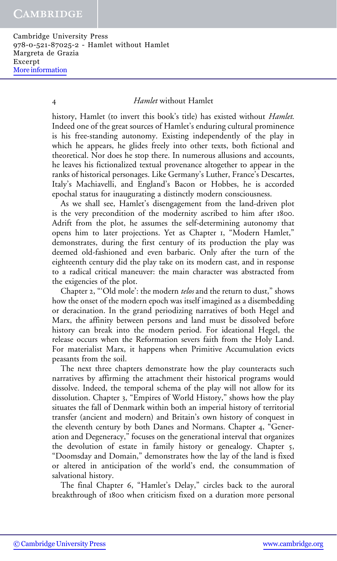#### 4 Hamlet without Hamlet

history, Hamlet (to invert this book's title) has existed without *Hamlet*. Indeed one of the great sources of Hamlet's enduring cultural prominence is his free-standing autonomy. Existing independently of the play in which he appears, he glides freely into other texts, both fictional and theoretical. Nor does he stop there. In numerous allusions and accounts, he leaves his fictionalized textual provenance altogether to appear in the ranks of historical personages. Like Germany's Luther, France's Descartes, Italy's Machiavelli, and England's Bacon or Hobbes, he is accorded epochal status for inaugurating a distinctly modern consciousness.

As we shall see, Hamlet's disengagement from the land-driven plot is the very precondition of the modernity ascribed to him after 1800. Adrift from the plot, he assumes the self-determining autonomy that opens him to later projections. Yet as Chapter 1, "Modern Hamlet," demonstrates, during the first century of its production the play was deemed old-fashioned and even barbaric. Only after the turn of the eighteenth century did the play take on its modern cast, and in response to a radical critical maneuver: the main character was abstracted from the exigencies of the plot.

Chapter 2, "'Old mole': the modern telos and the return to dust," shows how the onset of the modern epoch was itself imagined as a disembedding or deracination. In the grand periodizing narratives of both Hegel and Marx, the affinity between persons and land must be dissolved before history can break into the modern period. For ideational Hegel, the release occurs when the Reformation severs faith from the Holy Land. For materialist Marx, it happens when Primitive Accumulation evicts peasants from the soil.

The next three chapters demonstrate how the play counteracts such narratives by affirming the attachment their historical programs would dissolve. Indeed, the temporal schema of the play will not allow for its dissolution. Chapter 3, "Empires of World History," shows how the play situates the fall of Denmark within both an imperial history of territorial transfer (ancient and modern) and Britain's own history of conquest in the eleventh century by both Danes and Normans. Chapter 4, "Generation and Degeneracy," focuses on the generational interval that organizes the devolution of estate in family history or genealogy. Chapter 5, "Doomsday and Domain," demonstrates how the lay of the land is fixed or altered in anticipation of the world's end, the consummation of salvational history.

The final Chapter 6, "Hamlet's Delay," circles back to the auroral breakthrough of 1800 when criticism fixed on a duration more personal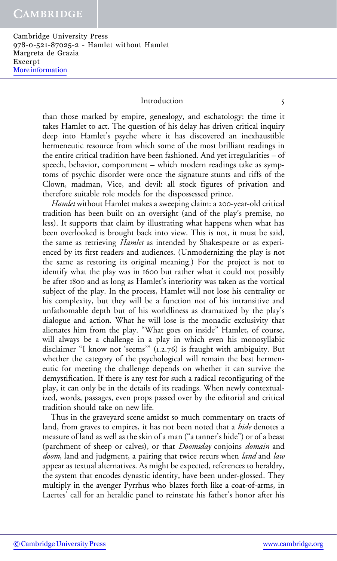#### Introduction 5

than those marked by empire, genealogy, and eschatology: the time it takes Hamlet to act. The question of his delay has driven critical inquiry deep into Hamlet's psyche where it has discovered an inexhaustible hermeneutic resource from which some of the most brilliant readings in the entire critical tradition have been fashioned. And yet irregularities – of speech, behavior, comportment – which modern readings take as symptoms of psychic disorder were once the signature stunts and riffs of the Clown, madman, Vice, and devil: all stock figures of privation and therefore suitable role models for the dispossessed prince.

Hamlet without Hamlet makes a sweeping claim: a 200-year-old critical tradition has been built on an oversight (and of the play's premise, no less). It supports that claim by illustrating what happens when what has been overlooked is brought back into view. This is not, it must be said, the same as retrieving *Hamlet* as intended by Shakespeare or as experienced by its first readers and audiences. (Unmodernizing the play is not the same as restoring its original meaning.) For the project is not to identify what the play was in 1600 but rather what it could not possibly be after 1800 and as long as Hamlet's interiority was taken as the vortical subject of the play. In the process, Hamlet will not lose his centrality or his complexity, but they will be a function not of his intransitive and unfathomable depth but of his worldliness as dramatized by the play's dialogue and action. What he will lose is the monadic exclusivity that alienates him from the play. "What goes on inside" Hamlet, of course, will always be a challenge in a play in which even his monosyllabic disclaimer "I know not 'seems'" (1.2.76) is fraught with ambiguity. But whether the category of the psychological will remain the best hermeneutic for meeting the challenge depends on whether it can survive the demystification. If there is any test for such a radical reconfiguring of the play, it can only be in the details of its readings. When newly contextualized, words, passages, even props passed over by the editorial and critical tradition should take on new life.

Thus in the graveyard scene amidst so much commentary on tracts of land, from graves to empires, it has not been noted that a *hide* denotes a measure of land as well as the skin of a man ("a tanner's hide") or of a beast (parchment of sheep or calves), or that *Doomsday* conjoins *domain* and doom, land and judgment, a pairing that twice recurs when land and law appear as textual alternatives. As might be expected, references to heraldry, the system that encodes dynastic identity, have been under-glossed. They multiply in the avenger Pyrrhus who blazes forth like a coat-of-arms, in Laertes' call for an heraldic panel to reinstate his father's honor after his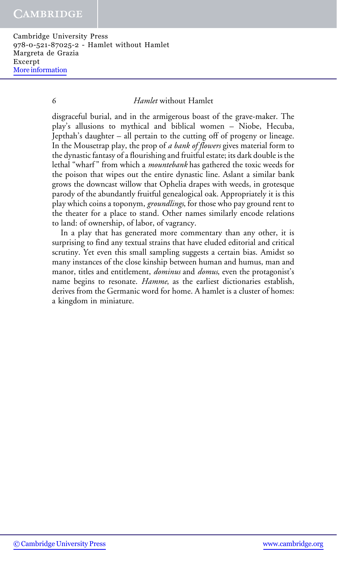#### 6 Hamlet without Hamlet

disgraceful burial, and in the armigerous boast of the grave-maker. The play's allusions to mythical and biblical women – Niobe, Hecuba, Jepthah's daughter – all pertain to the cutting off of progeny or lineage. In the Mousetrap play, the prop of a bank of flowers gives material form to the dynastic fantasy of a flourishing and fruitful estate; its dark double is the lethal "wharf" from which a *mountebank* has gathered the toxic weeds for the poison that wipes out the entire dynastic line. Aslant a similar bank grows the downcast willow that Ophelia drapes with weeds, in grotesque parody of the abundantly fruitful genealogical oak. Appropriately it is this play which coins a toponym, groundlings, for those who pay ground rent to the theater for a place to stand. Other names similarly encode relations to land: of ownership, of labor, of vagrancy.

In a play that has generated more commentary than any other, it is surprising to find any textual strains that have eluded editorial and critical scrutiny. Yet even this small sampling suggests a certain bias. Amidst so many instances of the close kinship between human and humus, man and manor, titles and entitlement, *dominus* and *domus*, even the protagonist's name begins to resonate. Hamme, as the earliest dictionaries establish, derives from the Germanic word for home. A hamlet is a cluster of homes: a kingdom in miniature.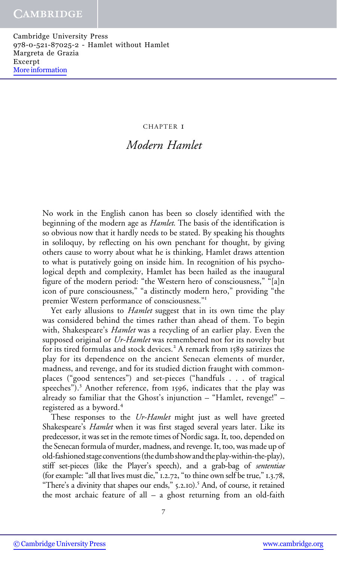#### CHAPTER 1

## Modern Hamlet

No work in the English canon has been so closely identified with the beginning of the modern age as *Hamlet*. The basis of the identification is so obvious now that it hardly needs to be stated. By speaking his thoughts in soliloquy, by reflecting on his own penchant for thought, by giving others cause to worry about what he is thinking, Hamlet draws attention to what is putatively going on inside him. In recognition of his psychological depth and complexity, Hamlet has been hailed as the inaugural figure of the modern period: "the Western hero of consciousness," "[a]n icon of pure consciousness," "a distinctly modern hero," providing "the premier Western performance of consciousness."<sup>1</sup>

Yet early allusions to *Hamlet* suggest that in its own time the play was considered behind the times rather than ahead of them. To begin with, Shakespeare's *Hamlet* was a recycling of an earlier play. Even the supposed original or Ur-Hamlet was remembered not for its novelty but for its tired formulas and stock devices.<sup>2</sup> A remark from 1589 satirizes the play for its dependence on the ancient Senecan elements of murder, madness, and revenge, and for its studied diction fraught with commonplaces ("good sentences") and set-pieces ("handfuls . . . of tragical speeches").<sup>3</sup> Another reference, from 1596, indicates that the play was already so familiar that the Ghost's injunction – "Hamlet, revenge!" – registered as a byword.<sup>4</sup>

These responses to the Ur-Hamlet might just as well have greeted Shakespeare's *Hamlet* when it was first staged several years later. Like its predecessor, it was set in the remote times of Nordic saga. It, too, depended on the Senecan formula of murder, madness, and revenge. It, too, was made up of old-fashioned stage conventions (thedumb showand theplay-within-the-play), stiff set-pieces (like the Player's speech), and a grab-bag of sententiae (for example: "all that lives must die," 1.2.72, "to thine own self be true," 1.3.78, "There's a divinity that shapes our ends," 5.2.10).<sup>5</sup> And, of course, it retained the most archaic feature of all – a ghost returning from an old-faith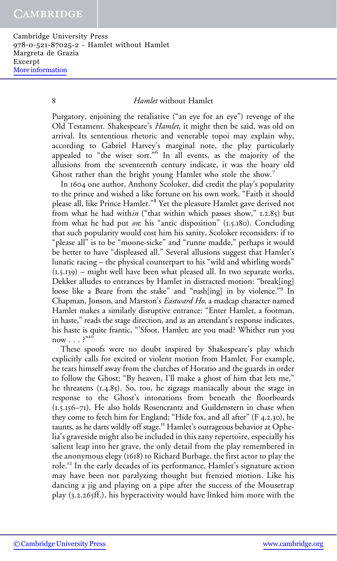8 Hamlet without Hamlet

Purgatory, enjoining the retaliative ("an eye for an eye") revenge of the Old Testament. Shakespeare's *Hamlet*, it might then be said, was old on arrival. Its sententious rhetoric and venerable topoi may explain why, according to Gabriel Harvey's marginal note, the play particularly appealed to "the wiser sort."<sup>6</sup> In all events, as the majority of the allusions from the seventeenth century indicate, it was the hoary old Ghost rather than the bright young Hamlet who stole the show.<sup>7</sup>

In 1604 one author, Anthony Scoloker, did credit the play's popularity to the prince and wished a like fortune on his own work, "Faith it should please all, like Prince Hamlet."<sup>8</sup> Yet the pleasure Hamlet gave derived not from what he had within ("that within which passes show," 1.2.85) but from what he had put on: his "antic disposition"  $(I.5.180)$ . Concluding that such popularity would cost him his sanity, Scoloker reconsiders: if to "please all" is to be "moone-sicke" and "runne madde," perhaps it would be better to have "displeased all." Several allusions suggest that Hamlet's lunatic racing – the physical counterpart to his "wild and whirling words"  $(1.5.139)$  – might well have been what pleased all. In two separate works, Dekker alludes to entrances by Hamlet in distracted motion: "break[ing] loose like a Beare from the stake" and "rush[ing] in by violence."<sup>9</sup> In Chapman, Jonson, and Marston's *Eastward Ho*, a madcap character named Hamlet makes a similarly disruptive entrance: "Enter Hamlet, a footman, in haste," reads the stage direction, and as an attendant's response indicates, his haste is quite frantic, "'Sfoot, Hamlet; are you mad? Whither run you  $now \dots$ <sup>"10</sup>

These spoofs were no doubt inspired by Shakespeare's play which explicitly calls for excited or violent motion from Hamlet. For example, he tears himself away from the clutches of Horatio and the guards in order to follow the Ghost; "By heaven, I'll make a ghost of him that lets me," he threatens (1.4.85). So, too, he zigzags maniacally about the stage in response to the Ghost's intonations from beneath the floorboards (1.5.156–71). He also holds Rosencrantz and Guildenstern in chase when they come to fetch him for England; "Hide fox, and all after" (F 4.2.30), he taunts, as he darts wildly off stage.<sup>11</sup> Hamlet's outrageous behavior at Ophelia's graveside might also be included in this zany repertoire, especially his salient leap into her grave, the only detail from the play remembered in the anonymous elegy (1618) to Richard Burbage, the first actor to play the role.<sup>12</sup> In the early decades of its performance, Hamlet's signature action may have been not paralyzing thought but frenzied motion. Like his dancing a jig and playing on a pipe after the success of the Mousetrap play (3.2.265ff.), his hyperactivity would have linked him more with the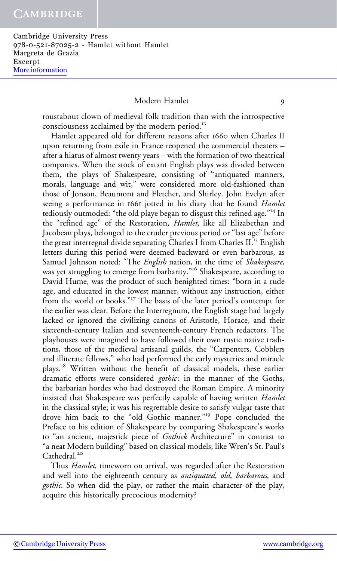### Modern Hamlet 9

roustabout clown of medieval folk tradition than with the introspective consciousness acclaimed by the modern period.<sup>13</sup>

Hamlet appeared old for different reasons after 1660 when Charles II upon returning from exile in France reopened the commercial theaters – after a hiatus of almost twenty years – with the formation of two theatrical companies. When the stock of extant English plays was divided between them, the plays of Shakespeare, consisting of "antiquated manners, morals, language and wit," were considered more old-fashioned than those of Jonson, Beaumont and Fletcher, and Shirley. John Evelyn after seeing a performance in 1661 jotted in his diary that he found Hamlet tediously outmoded: "the old playe began to disgust this refined age."<sup>14</sup> In the "refined age" of the Restoration, *Hamlet*, like all Elizabethan and Jacobean plays, belonged to the cruder previous period or "last age" before the great interregnal divide separating Charles I from Charles II.<sup>15</sup> English letters during this period were deemed backward or even barbarous, as Samuel Johnson noted: "The English nation, in the time of Shakespeare, was yet struggling to emerge from barbarity."<sup>16</sup> Shakespeare, according to David Hume, was the product of such benighted times: "born in a rude age, and educated in the lowest manner, without any instruction, either from the world or books."<sup>17</sup> The basis of the later period's contempt for the earlier was clear. Before the Interregnum, the English stage had largely lacked or ignored the civilizing canons of Aristotle, Horace, and their sixteenth-century Italian and seventeenth-century French redactors. The playhouses were imagined to have followed their own rustic native traditions, those of the medieval artisanal guilds, the "Carpenters, Cobblers and illiterate fellows," who had performed the early mysteries and miracle plays.<sup>18</sup> Written without the benefit of classical models, these earlier dramatic efforts were considered gothic: in the manner of the Goths, the barbarian hordes who had destroyed the Roman Empire. A minority insisted that Shakespeare was perfectly capable of having written Hamlet in the classical style; it was his regrettable desire to satisfy vulgar taste that drove him back to the "old Gothic manner."<sup>19</sup> Pope concluded the Preface to his edition of Shakespeare by comparing Shakespeare's works to "an ancient, majestick piece of Gothick Architecture" in contrast to "a neat Modern building" based on classical models, like Wren's St. Paul's Cathedral.<sup>20</sup>

Thus *Hamlet*, timeworn on arrival, was regarded after the Restoration and well into the eighteenth century as *antiquated*, old, barbarous, and gothic. So when did the play, or rather the main character of the play, acquire this historically precocious modernity?